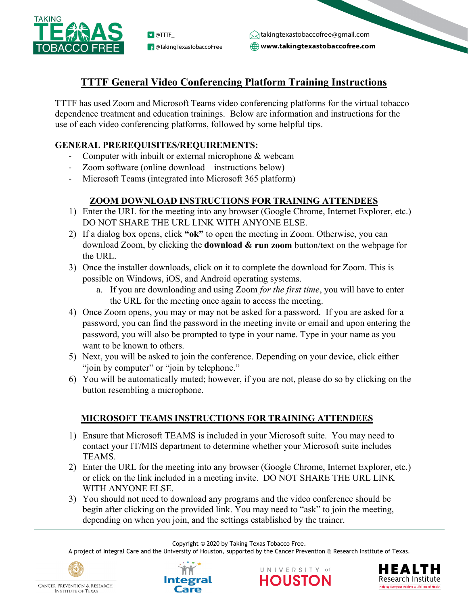

**B** @TakingTexasTobaccoFree

**www.takingtexastobaccofree.com D** @TTTF\_ takingtexastobaccofree@gmail.com

# **TTTF General Video Conferencing Platform Training Instructions**

TTTF has used Zoom and Microsoft Teams video conferencing platforms for the virtual tobacco dependence treatment and education trainings. Below are information and instructions for the use of each video conferencing platforms, followed by some helpful tips.

## **GENERAL PREREQUISITES/REQUIREMENTS:**

- Computer with inbuilt or external microphone & webcam
- Zoom software (online download instructions below)
- Microsoft Teams (integrated into Microsoft 365 platform)

## **ZOOM DOWNLOAD INSTRUCTIONS FOR TRAINING ATTENDEES**

- 1) Enter the URL for the meeting into any browser (Google Chrome, Internet Explorer, etc.) DO NOT SHARE THE URL LINK WITH ANYONE ELSE.
- 2) If a dialog box opens, click **"ok"** to open the meeting in Zoom. Otherwise, you can download Zoom, by clicking the **download & run zoom** button/text on the webpage for the URL.
- 3) Once the installer downloads, click on it to complete the download for Zoom. This is possible on Windows, iOS, and Android operating systems.
	- a. If you are downloading and using Zoom *for the first time*, you will have to enter the URL for the meeting once again to access the meeting.
- 4) Once Zoom opens, you may or may not be asked for a password. If you are asked for a password, you can find the password in the meeting invite or email and upon entering the password, you will also be prompted to type in your name. Type in your name as you want to be known to others.
- 5) Next, you will be asked to join the conference. Depending on your device, click either "join by computer" or "join by telephone."
- 6) You will be automatically muted; however, if you are not, please do so by clicking on the button resembling a microphone.

### **MICROSOFT TEAMS INSTRUCTIONS FOR TRAINING ATTENDEES**

- 1) Ensure that Microsoft TEAMS is included in your Microsoft suite. You may need to contact your IT/MIS department to determine whether your Microsoft suite includes TEAMS.
- 2) Enter the URL for the meeting into any browser (Google Chrome, Internet Explorer, etc.) or click on the link included in a meeting invite. DO NOT SHARE THE URL LINK WITH ANYONE ELSE.
- 3) You should not need to download any programs and the video conference should be begin after clicking on the provided link. You may need to "ask" to join the meeting, depending on when you join, and the settings established by the trainer.

Copyright © 2020 by Taking Texas Tobacco Free.

A project of Integral Care and the University of Houston, supported by the Cancer Prevention & Research Institute of Texas.